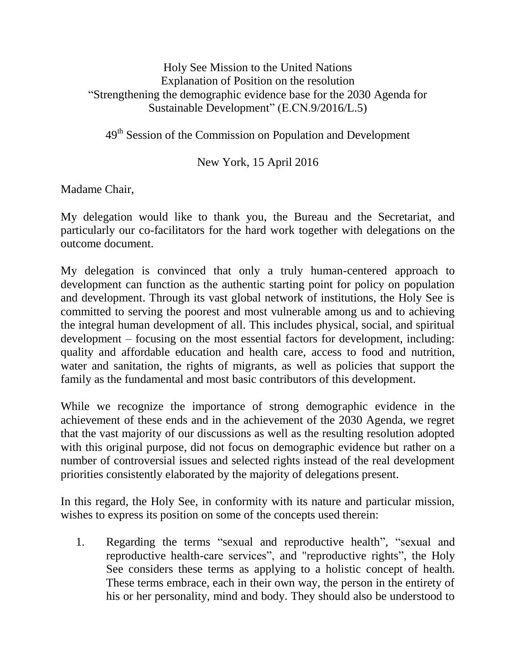## Holy See Mission to the United Nations Explanation of Position on the resolution "Strengthening the demographic evidence base for the 2030 Agenda for Sustainable Development" (E.CN.9/2016/L.5)

49th Session of the Commission on Population and Development

New York, 15 April 2016

Madame Chair,

My delegation would like to thank you, the Bureau and the Secretariat, and particularly our co-facilitators for the hard work together with delegations on the outcome document.

My delegation is convinced that only a truly human-centered approach to development can function as the authentic starting point for policy on population and development. Through its vast global network of institutions, the Holy See is committed to serving the poorest and most vulnerable among us and to achieving the integral human development of all. This includes physical, social, and spiritual development – focusing on the most essential factors for development, including: quality and affordable education and health care, access to food and nutrition, water and sanitation, the rights of migrants, as well as policies that support the family as the fundamental and most basic contributors of this development.

While we recognize the importance of strong demographic evidence in the achievement of these ends and in the achievement of the 2030 Agenda, we regret that the vast majority of our discussions as well as the resulting resolution adopted with this original purpose, did not focus on demographic evidence but rather on a number of controversial issues and selected rights instead of the real development priorities consistently elaborated by the majority of delegations present.

In this regard, the Holy See, in conformity with its nature and particular mission, wishes to express its position on some of the concepts used therein:

1. Regarding the terms "sexual and reproductive health", "sexual and reproductive health-care services", and "reproductive rights", the Holy See considers these terms as applying to a holistic concept of health. These terms embrace, each in their own way, the person in the entirety of his or her personality, mind and body. They should also be understood to